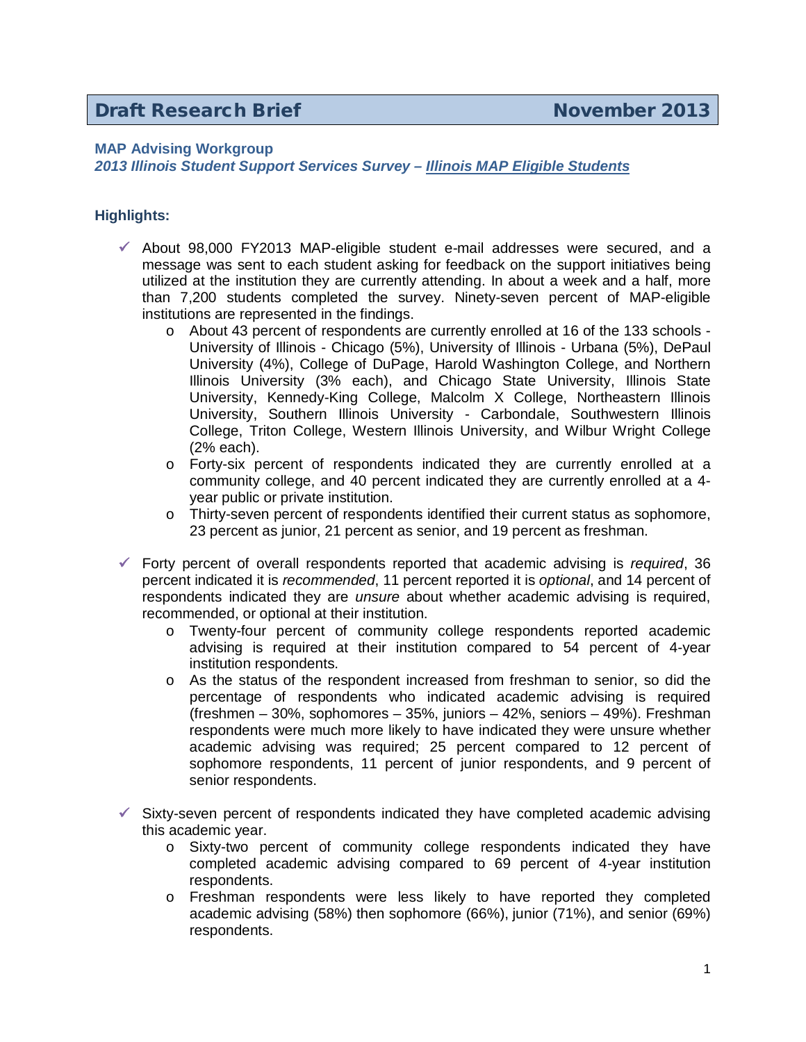## **Draft Research Brief November 2013**

## **MAP Advising Workgroup**

*2013 Illinois Student Support Services Survey – Illinois MAP Eligible Students*

## **Highlights:**

- $\checkmark$  About 98,000 FY2013 MAP-eligible student e-mail addresses were secured, and a message was sent to each student asking for feedback on the support initiatives being utilized at the institution they are currently attending. In about a week and a half, more than 7,200 students completed the survey. Ninety-seven percent of MAP-eligible institutions are represented in the findings.
	- o About 43 percent of respondents are currently enrolled at 16 of the 133 schools University of Illinois - Chicago (5%), University of Illinois - Urbana (5%), DePaul University (4%), College of DuPage, Harold Washington College, and Northern Illinois University (3% each), and Chicago State University, Illinois State University, Kennedy-King College, Malcolm X College, Northeastern Illinois University, Southern Illinois University - Carbondale, Southwestern Illinois College, Triton College, Western Illinois University, and Wilbur Wright College (2% each).
	- o Forty-six percent of respondents indicated they are currently enrolled at a community college, and 40 percent indicated they are currently enrolled at a 4 year public or private institution.
	- o Thirty-seven percent of respondents identified their current status as sophomore, 23 percent as junior, 21 percent as senior, and 19 percent as freshman.
- Forty percent of overall respondents reported that academic advising is *required*, 36 percent indicated it is *recommended*, 11 percent reported it is *optional*, and 14 percent of respondents indicated they are *unsure* about whether academic advising is required, recommended, or optional at their institution.
	- o Twenty-four percent of community college respondents reported academic advising is required at their institution compared to 54 percent of 4-year institution respondents.
	- o As the status of the respondent increased from freshman to senior, so did the percentage of respondents who indicated academic advising is required (freshmen – 30%, sophomores – 35%, juniors – 42%, seniors – 49%). Freshman respondents were much more likely to have indicated they were unsure whether academic advising was required; 25 percent compared to 12 percent of sophomore respondents, 11 percent of junior respondents, and 9 percent of senior respondents.
- $\checkmark$  Sixty-seven percent of respondents indicated they have completed academic advising this academic year.
	- o Sixty-two percent of community college respondents indicated they have completed academic advising compared to 69 percent of 4-year institution respondents.
	- o Freshman respondents were less likely to have reported they completed academic advising (58%) then sophomore (66%), junior (71%), and senior (69%) respondents.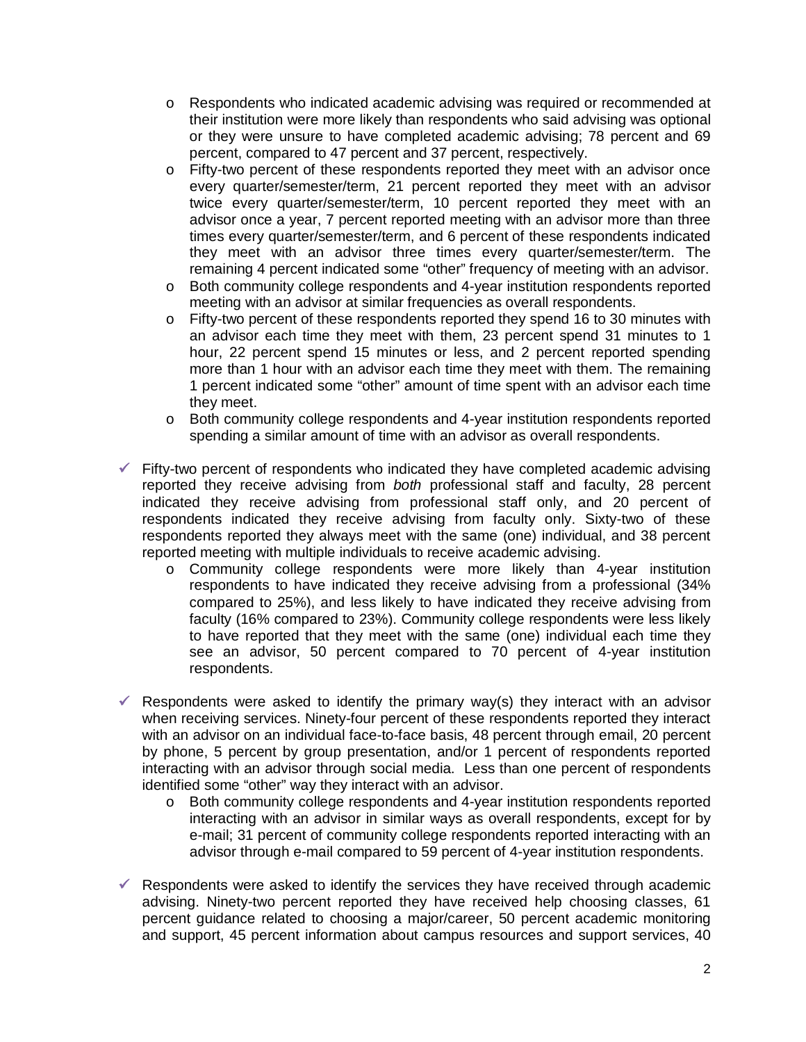- o Respondents who indicated academic advising was required or recommended at their institution were more likely than respondents who said advising was optional or they were unsure to have completed academic advising; 78 percent and 69 percent, compared to 47 percent and 37 percent, respectively.
- o Fifty-two percent of these respondents reported they meet with an advisor once every quarter/semester/term, 21 percent reported they meet with an advisor twice every quarter/semester/term, 10 percent reported they meet with an advisor once a year, 7 percent reported meeting with an advisor more than three times every quarter/semester/term, and 6 percent of these respondents indicated they meet with an advisor three times every quarter/semester/term. The remaining 4 percent indicated some "other" frequency of meeting with an advisor.
- o Both community college respondents and 4-year institution respondents reported meeting with an advisor at similar frequencies as overall respondents.
- o Fifty-two percent of these respondents reported they spend 16 to 30 minutes with an advisor each time they meet with them, 23 percent spend 31 minutes to 1 hour, 22 percent spend 15 minutes or less, and 2 percent reported spending more than 1 hour with an advisor each time they meet with them. The remaining 1 percent indicated some "other" amount of time spent with an advisor each time they meet.
- o Both community college respondents and 4-year institution respondents reported spending a similar amount of time with an advisor as overall respondents.
- $\checkmark$  Fifty-two percent of respondents who indicated they have completed academic advising reported they receive advising from *both* professional staff and faculty, 28 percent indicated they receive advising from professional staff only, and 20 percent of respondents indicated they receive advising from faculty only. Sixty-two of these respondents reported they always meet with the same (one) individual, and 38 percent reported meeting with multiple individuals to receive academic advising.
	- o Community college respondents were more likely than 4-year institution respondents to have indicated they receive advising from a professional (34% compared to 25%), and less likely to have indicated they receive advising from faculty (16% compared to 23%). Community college respondents were less likely to have reported that they meet with the same (one) individual each time they see an advisor, 50 percent compared to 70 percent of 4-year institution respondents.
- Respondents were asked to identify the primary way(s) they interact with an advisor when receiving services. Ninety-four percent of these respondents reported they interact with an advisor on an individual face-to-face basis, 48 percent through email, 20 percent by phone, 5 percent by group presentation, and/or 1 percent of respondents reported interacting with an advisor through social media. Less than one percent of respondents identified some "other" way they interact with an advisor.
	- o Both community college respondents and 4-year institution respondents reported interacting with an advisor in similar ways as overall respondents, except for by e-mail; 31 percent of community college respondents reported interacting with an advisor through e-mail compared to 59 percent of 4-year institution respondents.
- $\checkmark$  Respondents were asked to identify the services they have received through academic advising. Ninety-two percent reported they have received help choosing classes, 61 percent guidance related to choosing a major/career, 50 percent academic monitoring and support, 45 percent information about campus resources and support services, 40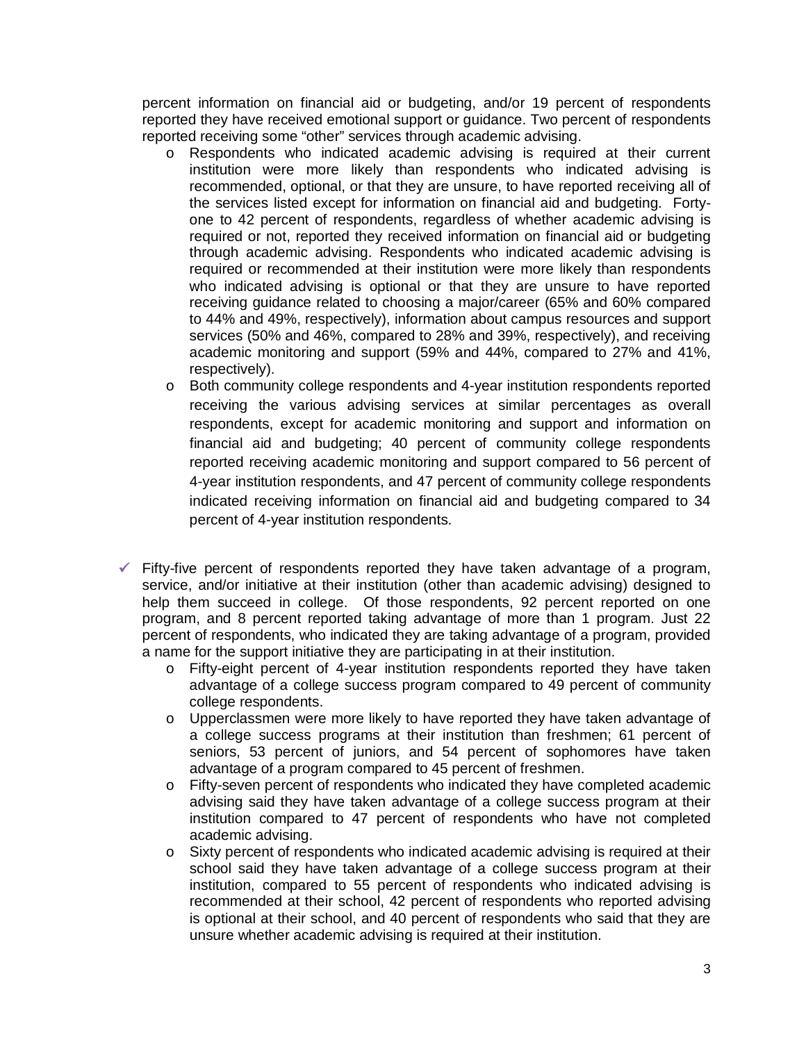percent information on financial aid or budgeting, and/or 19 percent of respondents reported they have received emotional support or guidance. Two percent of respondents reported receiving some "other" services through academic advising.

- o Respondents who indicated academic advising is required at their current institution were more likely than respondents who indicated advising is recommended, optional, or that they are unsure, to have reported receiving all of the services listed except for information on financial aid and budgeting. Fortyone to 42 percent of respondents, regardless of whether academic advising is required or not, reported they received information on financial aid or budgeting through academic advising. Respondents who indicated academic advising is required or recommended at their institution were more likely than respondents who indicated advising is optional or that they are unsure to have reported receiving guidance related to choosing a major/career (65% and 60% compared to 44% and 49%, respectively), information about campus resources and support services (50% and 46%, compared to 28% and 39%, respectively), and receiving academic monitoring and support (59% and 44%, compared to 27% and 41%, respectively).
- o Both community college respondents and 4-year institution respondents reported receiving the various advising services at similar percentages as overall respondents, except for academic monitoring and support and information on financial aid and budgeting; 40 percent of community college respondents reported receiving academic monitoring and support compared to 56 percent of 4-year institution respondents, and 47 percent of community college respondents indicated receiving information on financial aid and budgeting compared to 34 percent of 4-year institution respondents.
- $\checkmark$  Fifty-five percent of respondents reported they have taken advantage of a program, service, and/or initiative at their institution (other than academic advising) designed to help them succeed in college. Of those respondents, 92 percent reported on one program, and 8 percent reported taking advantage of more than 1 program. Just 22 percent of respondents, who indicated they are taking advantage of a program, provided a name for the support initiative they are participating in at their institution.
	- o Fifty-eight percent of 4-year institution respondents reported they have taken advantage of a college success program compared to 49 percent of community college respondents.
	- o Upperclassmen were more likely to have reported they have taken advantage of a college success programs at their institution than freshmen; 61 percent of seniors, 53 percent of juniors, and 54 percent of sophomores have taken advantage of a program compared to 45 percent of freshmen.
	- o Fifty-seven percent of respondents who indicated they have completed academic advising said they have taken advantage of a college success program at their institution compared to 47 percent of respondents who have not completed academic advising.
	- o Sixty percent of respondents who indicated academic advising is required at their school said they have taken advantage of a college success program at their institution, compared to 55 percent of respondents who indicated advising is recommended at their school, 42 percent of respondents who reported advising is optional at their school, and 40 percent of respondents who said that they are unsure whether academic advising is required at their institution.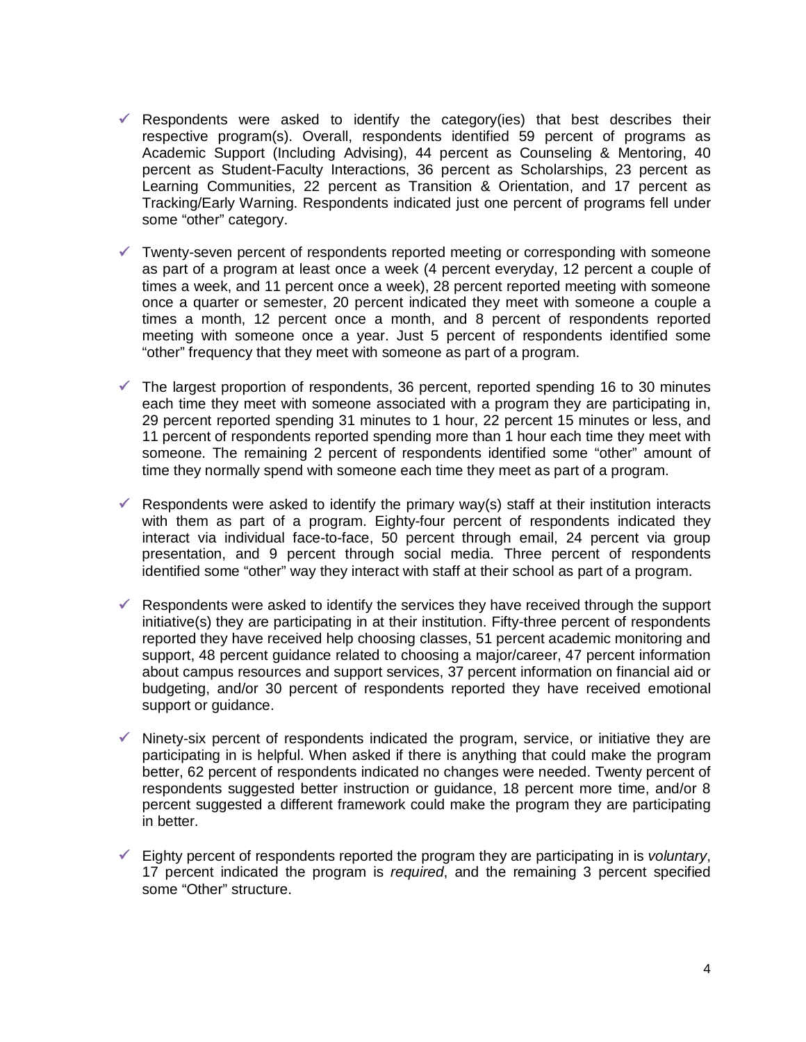- $\checkmark$  Respondents were asked to identify the category(ies) that best describes their respective program(s). Overall, respondents identified 59 percent of programs as Academic Support (Including Advising), 44 percent as Counseling & Mentoring, 40 percent as Student-Faculty Interactions, 36 percent as Scholarships, 23 percent as Learning Communities, 22 percent as Transition & Orientation, and 17 percent as Tracking/Early Warning. Respondents indicated just one percent of programs fell under some "other" category.
- $\checkmark$  Twenty-seven percent of respondents reported meeting or corresponding with someone as part of a program at least once a week (4 percent everyday, 12 percent a couple of times a week, and 11 percent once a week), 28 percent reported meeting with someone once a quarter or semester, 20 percent indicated they meet with someone a couple a times a month, 12 percent once a month, and 8 percent of respondents reported meeting with someone once a year. Just 5 percent of respondents identified some "other" frequency that they meet with someone as part of a program.
- $\checkmark$  The largest proportion of respondents, 36 percent, reported spending 16 to 30 minutes each time they meet with someone associated with a program they are participating in, 29 percent reported spending 31 minutes to 1 hour, 22 percent 15 minutes or less, and 11 percent of respondents reported spending more than 1 hour each time they meet with someone. The remaining 2 percent of respondents identified some "other" amount of time they normally spend with someone each time they meet as part of a program.
- $\checkmark$  Respondents were asked to identify the primary way(s) staff at their institution interacts with them as part of a program. Eighty-four percent of respondents indicated they interact via individual face-to-face, 50 percent through email, 24 percent via group presentation, and 9 percent through social media. Three percent of respondents identified some "other" way they interact with staff at their school as part of a program.
- $\checkmark$  Respondents were asked to identify the services they have received through the support initiative(s) they are participating in at their institution. Fifty-three percent of respondents reported they have received help choosing classes, 51 percent academic monitoring and support, 48 percent guidance related to choosing a major/career, 47 percent information about campus resources and support services, 37 percent information on financial aid or budgeting, and/or 30 percent of respondents reported they have received emotional support or guidance.
- $\checkmark$  Ninety-six percent of respondents indicated the program, service, or initiative they are participating in is helpful. When asked if there is anything that could make the program better, 62 percent of respondents indicated no changes were needed. Twenty percent of respondents suggested better instruction or guidance, 18 percent more time, and/or 8 percent suggested a different framework could make the program they are participating in better.
- Eighty percent of respondents reported the program they are participating in is *voluntary*, 17 percent indicated the program is *required*, and the remaining 3 percent specified some "Other" structure.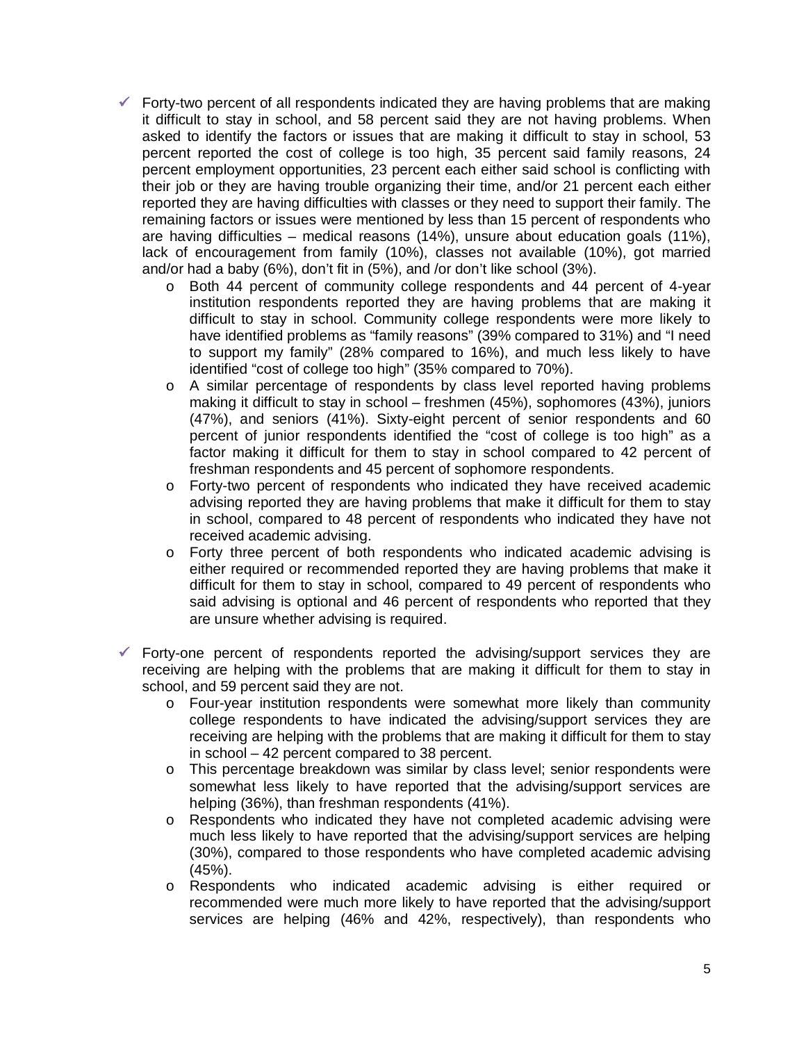- $\checkmark$  Forty-two percent of all respondents indicated they are having problems that are making it difficult to stay in school, and 58 percent said they are not having problems. When asked to identify the factors or issues that are making it difficult to stay in school, 53 percent reported the cost of college is too high, 35 percent said family reasons, 24 percent employment opportunities, 23 percent each either said school is conflicting with their job or they are having trouble organizing their time, and/or 21 percent each either reported they are having difficulties with classes or they need to support their family. The remaining factors or issues were mentioned by less than 15 percent of respondents who are having difficulties – medical reasons (14%), unsure about education goals (11%), lack of encouragement from family (10%), classes not available (10%), got married and/or had a baby (6%), don't fit in (5%), and /or don't like school (3%).
	- o Both 44 percent of community college respondents and 44 percent of 4-year institution respondents reported they are having problems that are making it difficult to stay in school. Community college respondents were more likely to have identified problems as "family reasons" (39% compared to 31%) and "I need to support my family" (28% compared to 16%), and much less likely to have identified "cost of college too high" (35% compared to 70%).
	- o A similar percentage of respondents by class level reported having problems making it difficult to stay in school – freshmen (45%), sophomores (43%), juniors (47%), and seniors (41%). Sixty-eight percent of senior respondents and 60 percent of junior respondents identified the "cost of college is too high" as a factor making it difficult for them to stay in school compared to 42 percent of freshman respondents and 45 percent of sophomore respondents.
	- o Forty-two percent of respondents who indicated they have received academic advising reported they are having problems that make it difficult for them to stay in school, compared to 48 percent of respondents who indicated they have not received academic advising.
	- o Forty three percent of both respondents who indicated academic advising is either required or recommended reported they are having problems that make it difficult for them to stay in school, compared to 49 percent of respondents who said advising is optional and 46 percent of respondents who reported that they are unsure whether advising is required.
- $\checkmark$  Forty-one percent of respondents reported the advising/support services they are receiving are helping with the problems that are making it difficult for them to stay in school, and 59 percent said they are not.
	- o Four-year institution respondents were somewhat more likely than community college respondents to have indicated the advising/support services they are receiving are helping with the problems that are making it difficult for them to stay in school – 42 percent compared to 38 percent.
	- o This percentage breakdown was similar by class level; senior respondents were somewhat less likely to have reported that the advising/support services are helping (36%), than freshman respondents (41%).
	- o Respondents who indicated they have not completed academic advising were much less likely to have reported that the advising/support services are helping (30%), compared to those respondents who have completed academic advising (45%).
	- o Respondents who indicated academic advising is either required or recommended were much more likely to have reported that the advising/support services are helping (46% and 42%, respectively), than respondents who